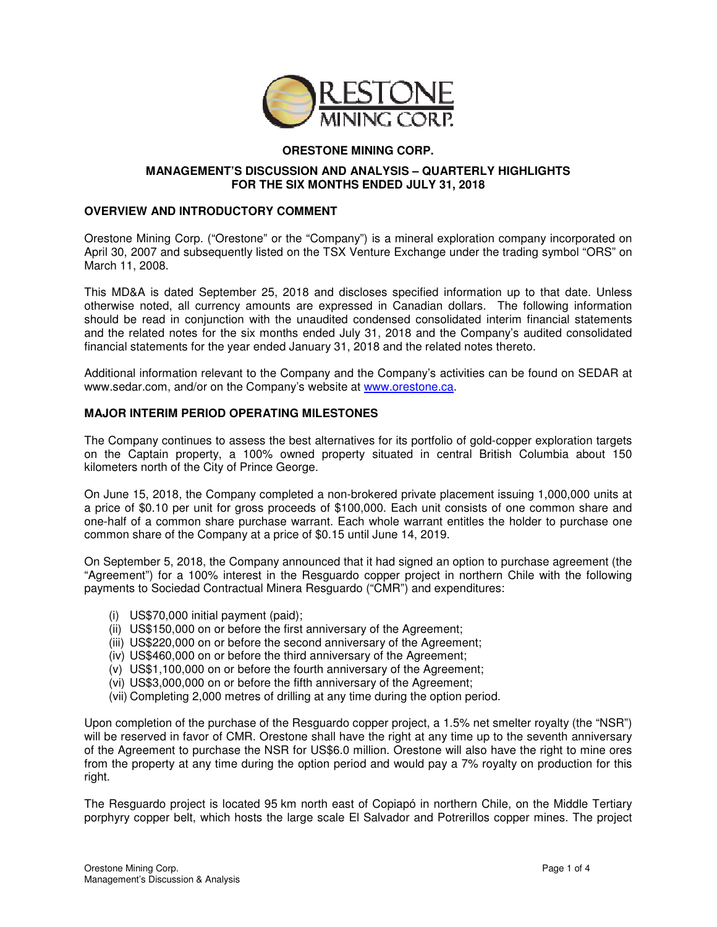

# **ORESTONE MINING CORP.**

## **MANAGEMENT'S DISCUSSION AND ANALYSIS – QUARTERLY HIGHLIGHTS FOR THE SIX MONTHS ENDED JULY 31, 2018**

## **OVERVIEW AND INTRODUCTORY COMMENT**

Orestone Mining Corp. ("Orestone" or the "Company") is a mineral exploration company incorporated on April 30, 2007 and subsequently listed on the TSX Venture Exchange under the trading symbol "ORS" on March 11, 2008.

This MD&A is dated September 25, 2018 and discloses specified information up to that date. Unless otherwise noted, all currency amounts are expressed in Canadian dollars. The following information should be read in conjunction with the unaudited condensed consolidated interim financial statements and the related notes for the six months ended July 31, 2018 and the Company's audited consolidated financial statements for the year ended January 31, 2018 and the related notes thereto.

Additional information relevant to the Company and the Company's activities can be found on SEDAR at www.sedar.com, and/or on the Company's website at www.orestone.ca.

## **MAJOR INTERIM PERIOD OPERATING MILESTONES**

The Company continues to assess the best alternatives for its portfolio of gold-copper exploration targets on the Captain property, a 100% owned property situated in central British Columbia about 150 kilometers north of the City of Prince George.

On June 15, 2018, the Company completed a non-brokered private placement issuing 1,000,000 units at a price of \$0.10 per unit for gross proceeds of \$100,000. Each unit consists of one common share and one-half of a common share purchase warrant. Each whole warrant entitles the holder to purchase one common share of the Company at a price of \$0.15 until June 14, 2019.

On September 5, 2018, the Company announced that it had signed an option to purchase agreement (the "Agreement") for a 100% interest in the Resguardo copper project in northern Chile with the following payments to Sociedad Contractual Minera Resguardo ("CMR") and expenditures:

- (i) US\$70,000 initial payment (paid);
- (ii) US\$150,000 on or before the first anniversary of the Agreement;
- (iii) US\$220,000 on or before the second anniversary of the Agreement;
- (iv) US\$460,000 on or before the third anniversary of the Agreement;
- (v) US\$1,100,000 on or before the fourth anniversary of the Agreement;
- (vi) US\$3,000,000 on or before the fifth anniversary of the Agreement;
- (vii) Completing 2,000 metres of drilling at any time during the option period.

Upon completion of the purchase of the Resguardo copper project, a 1.5% net smelter royalty (the "NSR") will be reserved in favor of CMR. Orestone shall have the right at any time up to the seventh anniversary of the Agreement to purchase the NSR for US\$6.0 million. Orestone will also have the right to mine ores from the property at any time during the option period and would pay a 7% royalty on production for this right.

The Resguardo project is located 95 km north east of Copiapó in northern Chile, on the Middle Tertiary porphyry copper belt, which hosts the large scale El Salvador and Potrerillos copper mines. The project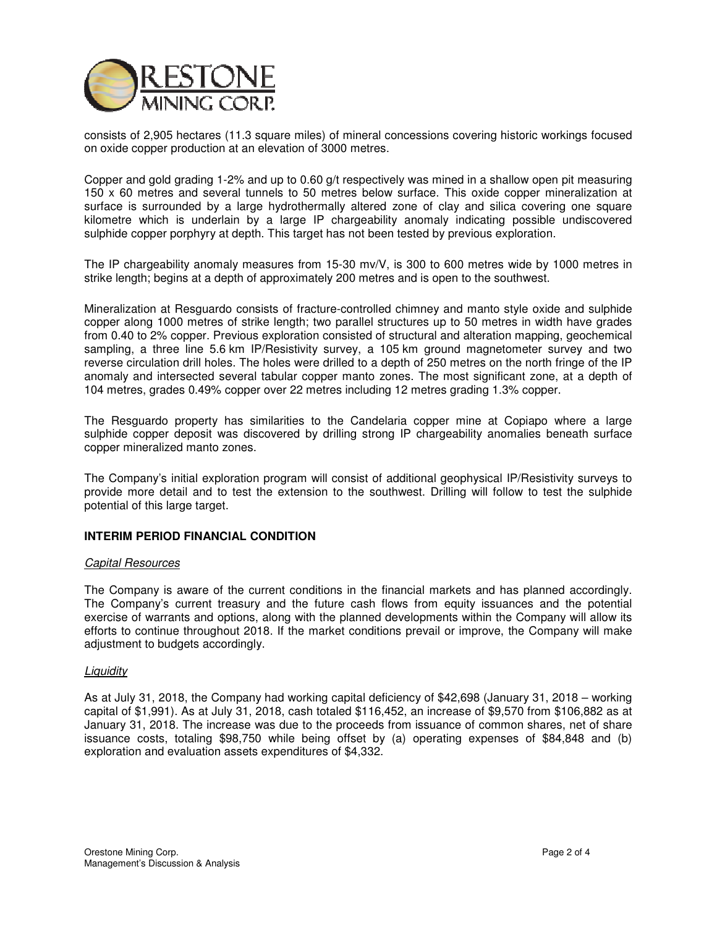

consists of 2,905 hectares (11.3 square miles) of mineral concessions covering historic workings focused on oxide copper production at an elevation of 3000 metres.

Copper and gold grading 1-2% and up to 0.60 g/t respectively was mined in a shallow open pit measuring 150 x 60 metres and several tunnels to 50 metres below surface. This oxide copper mineralization at surface is surrounded by a large hydrothermally altered zone of clay and silica covering one square kilometre which is underlain by a large IP chargeability anomaly indicating possible undiscovered sulphide copper porphyry at depth. This target has not been tested by previous exploration.

The IP chargeability anomaly measures from 15-30 mv/V, is 300 to 600 metres wide by 1000 metres in strike length; begins at a depth of approximately 200 metres and is open to the southwest.

Mineralization at Resguardo consists of fracture-controlled chimney and manto style oxide and sulphide copper along 1000 metres of strike length; two parallel structures up to 50 metres in width have grades from 0.40 to 2% copper. Previous exploration consisted of structural and alteration mapping, geochemical sampling, a three line 5.6 km IP/Resistivity survey, a 105 km ground magnetometer survey and two reverse circulation drill holes. The holes were drilled to a depth of 250 metres on the north fringe of the IP anomaly and intersected several tabular copper manto zones. The most significant zone, at a depth of 104 metres, grades 0.49% copper over 22 metres including 12 metres grading 1.3% copper.

The Resguardo property has similarities to the Candelaria copper mine at Copiapo where a large sulphide copper deposit was discovered by drilling strong IP chargeability anomalies beneath surface copper mineralized manto zones.

The Company's initial exploration program will consist of additional geophysical IP/Resistivity surveys to provide more detail and to test the extension to the southwest. Drilling will follow to test the sulphide potential of this large target.

## **INTERIM PERIOD FINANCIAL CONDITION**

## Capital Resources

The Company is aware of the current conditions in the financial markets and has planned accordingly. The Company's current treasury and the future cash flows from equity issuances and the potential exercise of warrants and options, along with the planned developments within the Company will allow its efforts to continue throughout 2018. If the market conditions prevail or improve, the Company will make adjustment to budgets accordingly.

## **Liquidity**

As at July 31, 2018, the Company had working capital deficiency of \$42,698 (January 31, 2018 – working capital of \$1,991). As at July 31, 2018, cash totaled \$116,452, an increase of \$9,570 from \$106,882 as at January 31, 2018. The increase was due to the proceeds from issuance of common shares, net of share issuance costs, totaling \$98,750 while being offset by (a) operating expenses of \$84,848 and (b) exploration and evaluation assets expenditures of \$4,332.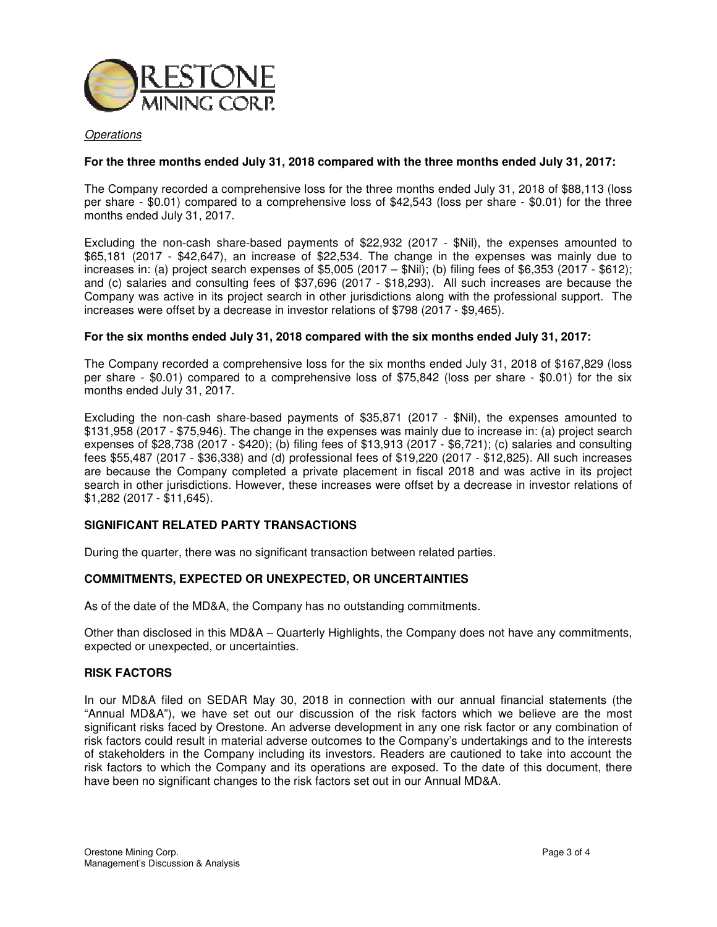

## **Operations**

## **For the three months ended July 31, 2018 compared with the three months ended July 31, 2017:**

The Company recorded a comprehensive loss for the three months ended July 31, 2018 of \$88,113 (loss per share - \$0.01) compared to a comprehensive loss of \$42,543 (loss per share - \$0.01) for the three months ended July 31, 2017.

Excluding the non-cash share-based payments of \$22,932 (2017 - \$Nil), the expenses amounted to \$65,181 (2017 - \$42,647), an increase of \$22,534. The change in the expenses was mainly due to increases in: (a) project search expenses of \$5,005 (2017 – \$Nil); (b) filing fees of \$6,353 (2017 - \$612); and (c) salaries and consulting fees of \$37,696 (2017 - \$18,293). All such increases are because the Company was active in its project search in other jurisdictions along with the professional support. The increases were offset by a decrease in investor relations of \$798 (2017 - \$9,465).

## **For the six months ended July 31, 2018 compared with the six months ended July 31, 2017:**

The Company recorded a comprehensive loss for the six months ended July 31, 2018 of \$167,829 (loss per share - \$0.01) compared to a comprehensive loss of \$75,842 (loss per share - \$0.01) for the six months ended July 31, 2017.

Excluding the non-cash share-based payments of \$35,871 (2017 - \$Nil), the expenses amounted to \$131,958 (2017 - \$75,946). The change in the expenses was mainly due to increase in: (a) project search expenses of \$28,738 (2017 - \$420); (b) filing fees of \$13,913 (2017 - \$6,721); (c) salaries and consulting fees \$55,487 (2017 - \$36,338) and (d) professional fees of \$19,220 (2017 - \$12,825). All such increases are because the Company completed a private placement in fiscal 2018 and was active in its project search in other jurisdictions. However, these increases were offset by a decrease in investor relations of \$1,282 (2017 - \$11,645).

## **SIGNIFICANT RELATED PARTY TRANSACTIONS**

During the quarter, there was no significant transaction between related parties.

## **COMMITMENTS, EXPECTED OR UNEXPECTED, OR UNCERTAINTIES**

As of the date of the MD&A, the Company has no outstanding commitments.

Other than disclosed in this MD&A – Quarterly Highlights, the Company does not have any commitments, expected or unexpected, or uncertainties.

## **RISK FACTORS**

In our MD&A filed on SEDAR May 30, 2018 in connection with our annual financial statements (the "Annual MD&A"), we have set out our discussion of the risk factors which we believe are the most significant risks faced by Orestone. An adverse development in any one risk factor or any combination of risk factors could result in material adverse outcomes to the Company's undertakings and to the interests of stakeholders in the Company including its investors. Readers are cautioned to take into account the risk factors to which the Company and its operations are exposed. To the date of this document, there have been no significant changes to the risk factors set out in our Annual MD&A.